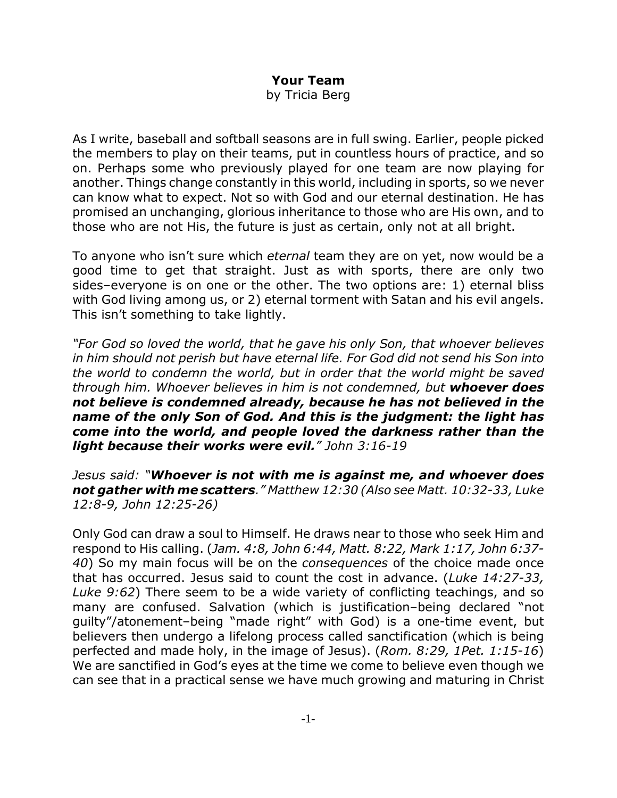# **Your Team**

by Tricia Berg

As I write, baseball and softball seasons are in full swing. Earlier, people picked the members to play on their teams, put in countless hours of practice, and so on. Perhaps some who previously played for one team are now playing for another. Things change constantly in this world, including in sports, so we never can know what to expect. Not so with God and our eternal destination. He has promised an unchanging, glorious inheritance to those who are His own, and to those who are not His, the future is just as certain, only not at all bright.

To anyone who isn't sure which *eternal* team they are on yet, now would be a good time to get that straight. Just as with sports, there are only two sides–everyone is on one or the other. The two options are: 1) eternal bliss with God living among us, or 2) eternal torment with Satan and his evil angels. This isn't something to take lightly.

*"For God so loved the world, that he gave his only Son, that whoever believes in him should not perish but have eternal life. For God did not send his Son into the world to condemn the world, but in order that the world might be saved through him. Whoever believes in him is not condemned, but whoever does not believe is condemned already, because he has not believed in the name of the only Son of God. And this is the judgment: the light has come into the world, and people loved the darkness rather than the light because their works were evil." John 3:16-19*

*Jesus said: "Whoever is not with me is against me, and whoever does not gather with me scatters." Matthew 12:30 (Also see Matt. 10:32-33, Luke 12:8-9, John 12:25-26)*

Only God can draw a soul to Himself. He draws near to those who seek Him and respond to His calling. (*Jam. 4:8, John 6:44, Matt. 8:22, Mark 1:17, John 6:37- 40*) So my main focus will be on the *consequences* of the choice made once that has occurred. Jesus said to count the cost in advance. (*Luke 14:27-33, Luke 9:62*) There seem to be a wide variety of conflicting teachings, and so many are confused. Salvation (which is justification–being declared "not guilty"/atonement–being "made right" with God) is a one-time event, but believers then undergo a lifelong process called sanctification (which is being perfected and made holy, in the image of Jesus). (*Rom. 8:29, 1Pet. 1:15-16*) We are sanctified in God's eyes at the time we come to believe even though we can see that in a practical sense we have much growing and maturing in Christ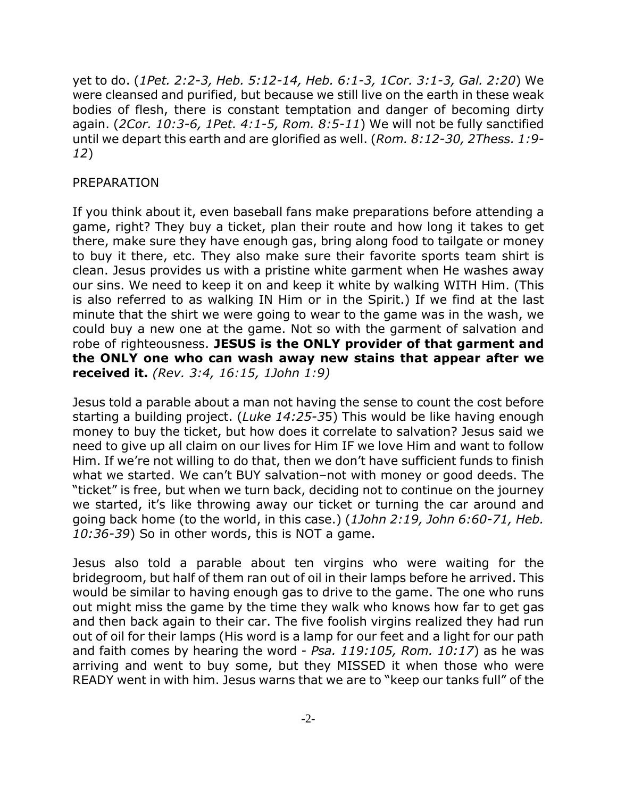yet to do. (*1Pet. 2:2-3, Heb. 5:12-14, Heb. 6:1-3, 1Cor. 3:1-3, Gal. 2:20*) We were cleansed and purified, but because we still live on the earth in these weak bodies of flesh, there is constant temptation and danger of becoming dirty again. (*2Cor. 10:3-6, 1Pet. 4:1-5, Rom. 8:5-11*) We will not be fully sanctified until we depart this earth and are glorified as well. (*Rom. 8:12-30, 2Thess. 1:9- 12*)

## PREPARATION

If you think about it, even baseball fans make preparations before attending a game, right? They buy a ticket, plan their route and how long it takes to get there, make sure they have enough gas, bring along food to tailgate or money to buy it there, etc. They also make sure their favorite sports team shirt is clean. Jesus provides us with a pristine white garment when He washes away our sins. We need to keep it on and keep it white by walking WITH Him. (This is also referred to as walking IN Him or in the Spirit.) If we find at the last minute that the shirt we were going to wear to the game was in the wash, we could buy a new one at the game. Not so with the garment of salvation and robe of righteousness. **JESUS is the ONLY provider of that garment and the ONLY one who can wash away new stains that appear after we received it.** *(Rev. 3:4, 16:15, 1John 1:9)*

Jesus told a parable about a man not having the sense to count the cost before starting a building project. (*Luke 14:25-3*5) This would be like having enough money to buy the ticket, but how does it correlate to salvation? Jesus said we need to give up all claim on our lives for Him IF we love Him and want to follow Him. If we're not willing to do that, then we don't have sufficient funds to finish what we started. We can't BUY salvation–not with money or good deeds. The "ticket" is free, but when we turn back, deciding not to continue on the journey we started, it's like throwing away our ticket or turning the car around and going back home (to the world, in this case.) (*1John 2:19, John 6:60-71, Heb. 10:36-39*) So in other words, this is NOT a game.

Jesus also told a parable about ten virgins who were waiting for the bridegroom, but half of them ran out of oil in their lamps before he arrived. This would be similar to having enough gas to drive to the game. The one who runs out might miss the game by the time they walk who knows how far to get gas and then back again to their car. The five foolish virgins realized they had run out of oil for their lamps (His word is a lamp for our feet and a light for our path and faith comes by hearing the word - *Psa. 119:105, Rom. 10:17*) as he was arriving and went to buy some, but they MISSED it when those who were READY went in with him. Jesus warns that we are to "keep our tanks full" of the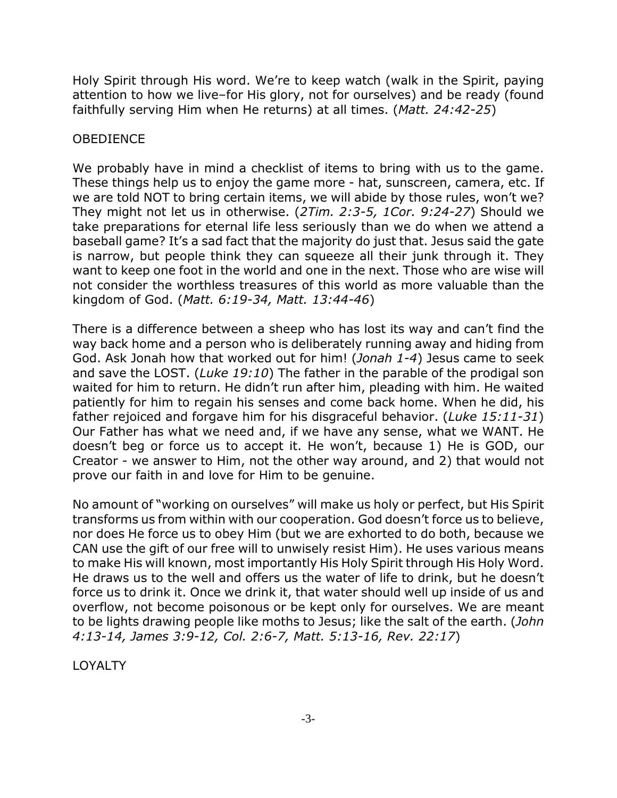Holy Spirit through His word. We're to keep watch (walk in the Spirit, paying attention to how we live–for His glory, not for ourselves) and be ready (found faithfully serving Him when He returns) at all times. (*Matt. 24:42-25*)

## **OBEDIENCE**

We probably have in mind a checklist of items to bring with us to the game. These things help us to enjoy the game more - hat, sunscreen, camera, etc. If we are told NOT to bring certain items, we will abide by those rules, won't we? They might not let us in otherwise. (*2Tim. 2:3-5, 1Cor. 9:24-27*) Should we take preparations for eternal life less seriously than we do when we attend a baseball game? It's a sad fact that the majority do just that. Jesus said the gate is narrow, but people think they can squeeze all their junk through it. They want to keep one foot in the world and one in the next. Those who are wise will not consider the worthless treasures of this world as more valuable than the kingdom of God. (*Matt. 6:19-34, Matt. 13:44-46*)

There is a difference between a sheep who has lost its way and can't find the way back home and a person who is deliberately running away and hiding from God. Ask Jonah how that worked out for him! (*Jonah 1-4*) Jesus came to seek and save the LOST. (*Luke 19:10*) The father in the parable of the prodigal son waited for him to return. He didn't run after him, pleading with him. He waited patiently for him to regain his senses and come back home. When he did, his father rejoiced and forgave him for his disgraceful behavior. (*Luke 15:11-31*) Our Father has what we need and, if we have any sense, what we WANT. He doesn't beg or force us to accept it. He won't, because 1) He is GOD, our Creator - we answer to Him, not the other way around, and 2) that would not prove our faith in and love for Him to be genuine.

No amount of "working on ourselves" will make us holy or perfect, but His Spirit transforms us from within with our cooperation. God doesn't force us to believe, nor does He force us to obey Him (but we are exhorted to do both, because we CAN use the gift of our free will to unwisely resist Him). He uses various means to make His will known, most importantly His Holy Spirit through His Holy Word. He draws us to the well and offers us the water of life to drink, but he doesn't force us to drink it. Once we drink it, that water should well up inside of us and overflow, not become poisonous or be kept only for ourselves. We are meant to be lights drawing people like moths to Jesus; like the salt of the earth. (*John 4:13-14, James 3:9-12, Col. 2:6-7, Matt. 5:13-16, Rev. 22:17*)

LOYALTY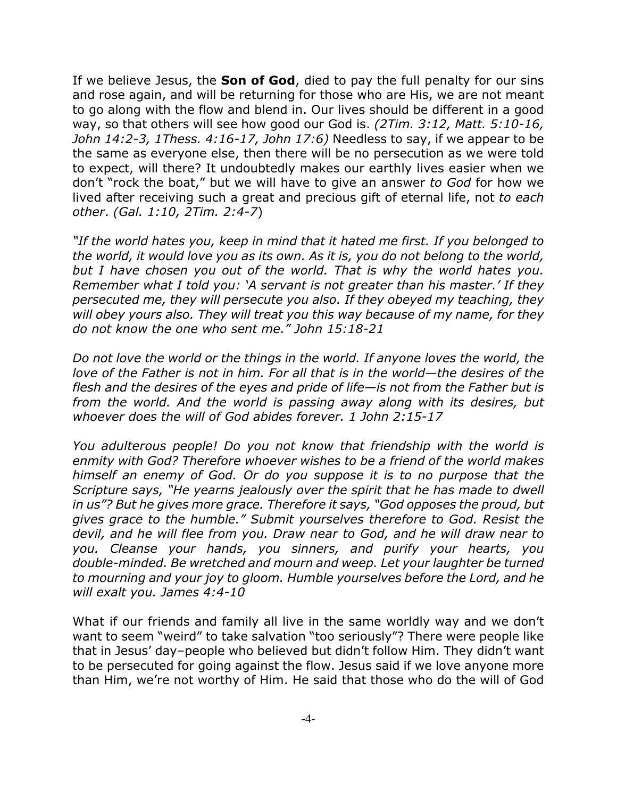If we believe Jesus, the **Son of God**, died to pay the full penalty for our sins and rose again, and will be returning for those who are His, we are not meant to go along with the flow and blend in. Our lives should be different in a good way, so that others will see how good our God is. *(2Tim. 3:12, Matt. 5:10-16, John 14:2-3, 1Thess. 4:16-17, John 17:6)* Needless to say, if we appear to be the same as everyone else, then there will be no persecution as we were told to expect, will there? It undoubtedly makes our earthly lives easier when we don't "rock the boat," but we will have to give an answer *to God* for how we lived after receiving such a great and precious gift of eternal life, not *to each other*. *(Gal. 1:10, 2Tim. 2:4-7*)

*"If the world hates you, keep in mind that it hated me first. If you belonged to the world, it would love you as its own. As it is, you do not belong to the world, but I have chosen you out of the world. That is why the world hates you. Remember what I told you: 'A servant is not greater than his master.' If they persecuted me, they will persecute you also. If they obeyed my teaching, they will obey yours also. They will treat you this way because of my name, for they do not know the one who sent me." John 15:18-21*

*Do not love the world or the things in the world. If anyone loves the world, the love of the Father is not in him. For all that is in the world—the desires of the flesh and the desires of the eyes and pride of life—is not from the Father but is from the world. And the world is passing away along with its desires, but whoever does the will of God abides forever. 1 John 2:15-17*

*You adulterous people! Do you not know that friendship with the world is enmity with God? Therefore whoever wishes to be a friend of the world makes himself an enemy of God. Or do you suppose it is to no purpose that the Scripture says, "He yearns jealously over the spirit that he has made to dwell in us"? But he gives more grace. Therefore it says, "God opposes the proud, but gives grace to the humble." Submit yourselves therefore to God. Resist the devil, and he will flee from you. Draw near to God, and he will draw near to you. Cleanse your hands, you sinners, and purify your hearts, you double-minded. Be wretched and mourn and weep. Let your laughter be turned to mourning and your joy to gloom. Humble yourselves before the Lord, and he will exalt you. James 4:4-10*

What if our friends and family all live in the same worldly way and we don't want to seem "weird" to take salvation "too seriously"? There were people like that in Jesus' day–people who believed but didn't follow Him. They didn't want to be persecuted for going against the flow. Jesus said if we love anyone more than Him, we're not worthy of Him. He said that those who do the will of God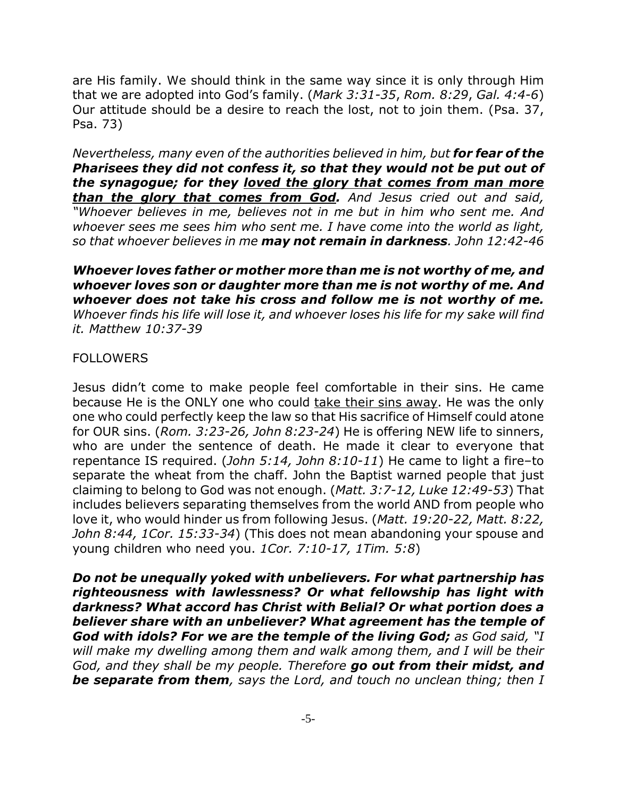are His family. We should think in the same way since it is only through Him that we are adopted into God's family. (*Mark 3:31-35*, *Rom. 8:29*, *Gal. 4:4-6*) Our attitude should be a desire to reach the lost, not to join them. (Psa. 37, Psa. 73)

*Nevertheless, many even of the authorities believed in him, but for fear of the Pharisees they did not confess it, so that they would not be put out of the synagogue; for they loved the glory that comes from man more than the glory that comes from God. And Jesus cried out and said, "Whoever believes in me, believes not in me but in him who sent me. And whoever sees me sees him who sent me. I have come into the world as light, so that whoever believes in me may not remain in darkness. John 12:42-46*

*Whoever loves father or mother more than me is not worthy of me, and whoever loves son or daughter more than me is not worthy of me. And whoever does not take his cross and follow me is not worthy of me. Whoever finds his life will lose it, and whoever loses his life for my sake will find it. Matthew 10:37-39*

#### **FOLLOWERS**

Jesus didn't come to make people feel comfortable in their sins. He came because He is the ONLY one who could take their sins away. He was the only one who could perfectly keep the law so that His sacrifice of Himself could atone for OUR sins. (*Rom. 3:23-26, John 8:23-24*) He is offering NEW life to sinners, who are under the sentence of death. He made it clear to everyone that repentance IS required. (*John 5:14, John 8:10-11*) He came to light a fire–to separate the wheat from the chaff. John the Baptist warned people that just claiming to belong to God was not enough. (*Matt. 3:7-12, Luke 12:49-53*) That includes believers separating themselves from the world AND from people who love it, who would hinder us from following Jesus. (*Matt. 19:20-22, Matt. 8:22, John 8:44, 1Cor. 15:33-34*) (This does not mean abandoning your spouse and young children who need you. *1Cor. 7:10-17, 1Tim. 5:8*)

*Do not be unequally yoked with unbelievers. For what partnership has righteousness with lawlessness? Or what fellowship has light with darkness? What accord has Christ with Belial? Or what portion does a believer share with an unbeliever? What agreement has the temple of God with idols? For we are the temple of the living God; as God said, "I will make my dwelling among them and walk among them, and I will be their God, and they shall be my people. Therefore go out from their midst, and be separate from them, says the Lord, and touch no unclean thing; then I*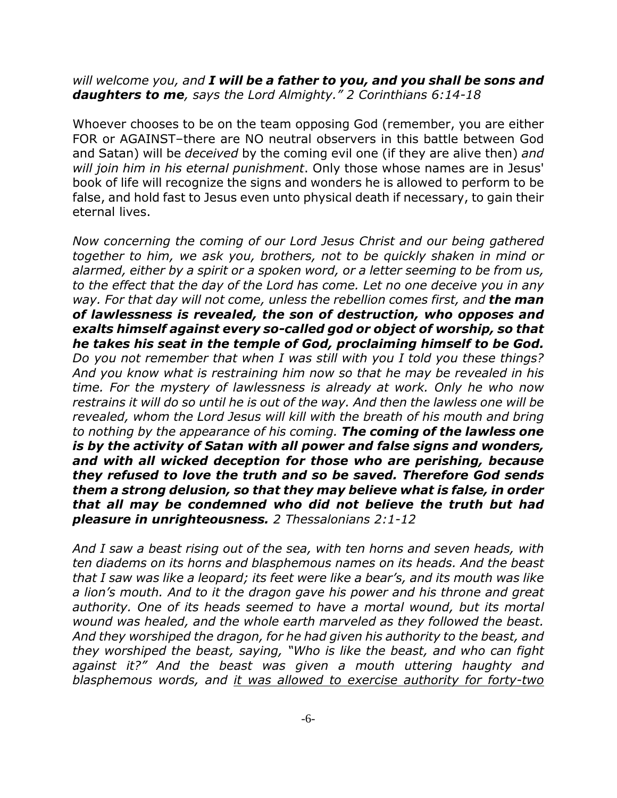#### *will welcome you, and I will be a father to you, and you shall be sons and daughters to me, says the Lord Almighty." 2 Corinthians 6:14-18*

Whoever chooses to be on the team opposing God (remember, you are either FOR or AGAINST–there are NO neutral observers in this battle between God and Satan) will be *deceived* by the coming evil one (if they are alive then) *and will join him in his eternal punishment*. Only those whose names are in Jesus' book of life will recognize the signs and wonders he is allowed to perform to be false, and hold fast to Jesus even unto physical death if necessary, to gain their eternal lives.

*Now concerning the coming of our Lord Jesus Christ and our being gathered together to him, we ask you, brothers, not to be quickly shaken in mind or alarmed, either by a spirit or a spoken word, or a letter seeming to be from us, to the effect that the day of the Lord has come. Let no one deceive you in any way. For that day will not come, unless the rebellion comes first, and the man of lawlessness is revealed, the son of destruction, who opposes and exalts himself against every so-called god or object of worship, so that he takes his seat in the temple of God, proclaiming himself to be God. Do you not remember that when I was still with you I told you these things? And you know what is restraining him now so that he may be revealed in his time. For the mystery of lawlessness is already at work. Only he who now restrains it will do so until he is out of the way. And then the lawless one will be revealed, whom the Lord Jesus will kill with the breath of his mouth and bring to nothing by the appearance of his coming. The coming of the lawless one is by the activity of Satan with all power and false signs and wonders, and with all wicked deception for those who are perishing, because they refused to love the truth and so be saved. Therefore God sends them a strong delusion, so that they may believe what is false, in order that all may be condemned who did not believe the truth but had pleasure in unrighteousness. 2 Thessalonians 2:1-12*

*And I saw a beast rising out of the sea, with ten horns and seven heads, with ten diadems on its horns and blasphemous names on its heads. And the beast that I saw was like a leopard; its feet were like a bear's, and its mouth was like a lion's mouth. And to it the dragon gave his power and his throne and great authority. One of its heads seemed to have a mortal wound, but its mortal wound was healed, and the whole earth marveled as they followed the beast. And they worshiped the dragon, for he had given his authority to the beast, and they worshiped the beast, saying, "Who is like the beast, and who can fight against it?" And the beast was given a mouth uttering haughty and blasphemous words, and it was allowed to exercise authority for forty-two*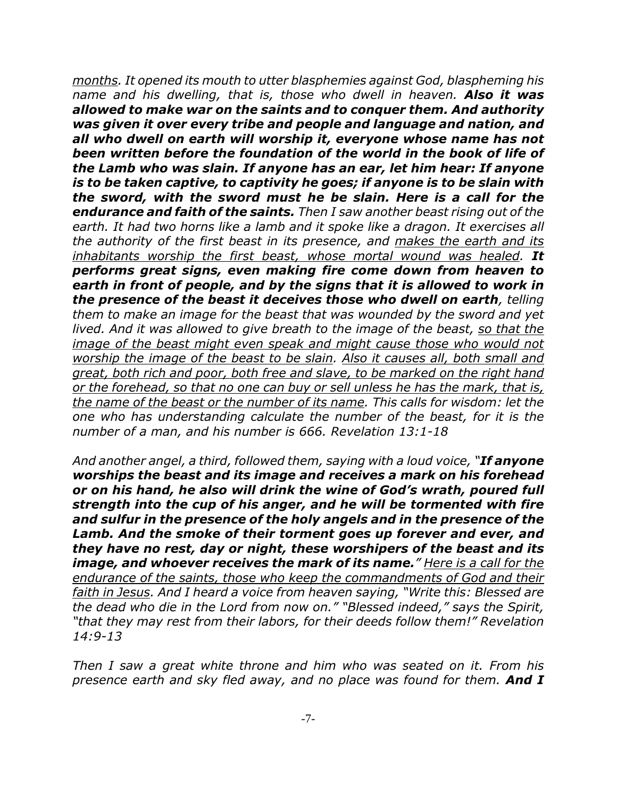*months. It opened its mouth to utter blasphemies against God, blaspheming his name and his dwelling, that is, those who dwell in heaven. Also it was allowed to make war on the saints and to conquer them. And authority was given it over every tribe and people and language and nation, and all who dwell on earth will worship it, everyone whose name has not been written before the foundation of the world in the book of life of the Lamb who was slain. If anyone has an ear, let him hear: If anyone is to be taken captive, to captivity he goes; if anyone is to be slain with the sword, with the sword must he be slain. Here is a call for the endurance and faith of the saints. Then I saw another beast rising out of the earth. It had two horns like a lamb and it spoke like a dragon. It exercises all the authority of the first beast in its presence, and makes the earth and its inhabitants worship the first beast, whose mortal wound was healed. It performs great signs, even making fire come down from heaven to earth in front of people, and by the signs that it is allowed to work in the presence of the beast it deceives those who dwell on earth, telling them to make an image for the beast that was wounded by the sword and yet lived. And it was allowed to give breath to the image of the beast, so that the image of the beast might even speak and might cause those who would not worship the image of the beast to be slain. Also it causes all, both small and great, both rich and poor, both free and slave, to be marked on the right hand or the forehead, so that no one can buy or sell unless he has the mark, that is, the name of the beast or the number of its name. This calls for wisdom: let the one who has understanding calculate the number of the beast, for it is the number of a man, and his number is 666. Revelation 13:1-18*

*And another angel, a third, followed them, saying with a loud voice, "If anyone worships the beast and its image and receives a mark on his forehead or on his hand, he also will drink the wine of God's wrath, poured full strength into the cup of his anger, and he will be tormented with fire and sulfur in the presence of the holy angels and in the presence of the Lamb. And the smoke of their torment goes up forever and ever, and they have no rest, day or night, these worshipers of the beast and its image, and whoever receives the mark of its name." Here is a call for the endurance of the saints, those who keep the commandments of God and their faith in Jesus. And I heard a voice from heaven saying, "Write this: Blessed are the dead who die in the Lord from now on." "Blessed indeed," says the Spirit, "that they may rest from their labors, for their deeds follow them!" Revelation 14:9-13*

*Then I saw a great white throne and him who was seated on it. From his presence earth and sky fled away, and no place was found for them. And I*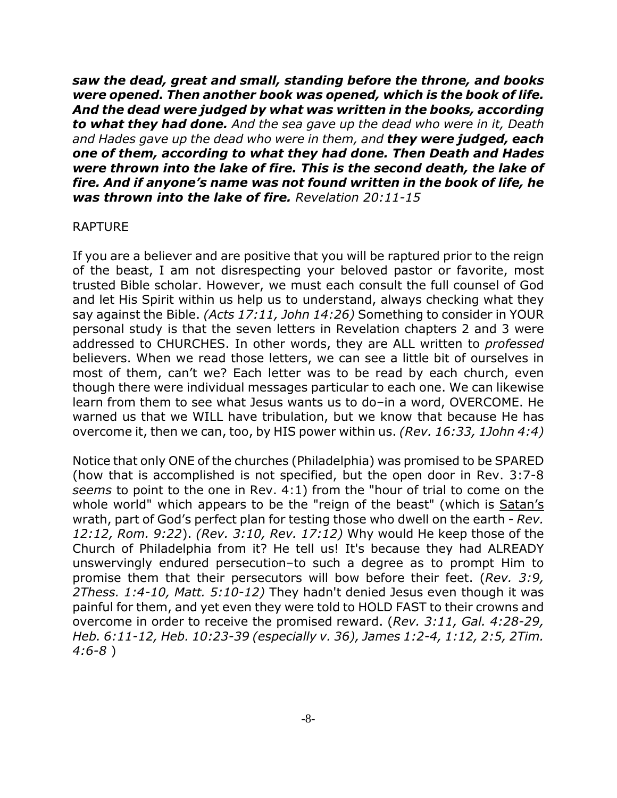*saw the dead, great and small, standing before the throne, and books were opened. Then another book was opened, which is the book of life. And the dead were judged by what was written in the books, according to what they had done. And the sea gave up the dead who were in it, Death and Hades gave up the dead who were in them, and they were judged, each one of them, according to what they had done. Then Death and Hades were thrown into the lake of fire. This is the second death, the lake of fire. And if anyone's name was not found written in the book of life, he was thrown into the lake of fire. Revelation 20:11-15*

#### RAPTURE

If you are a believer and are positive that you will be raptured prior to the reign of the beast, I am not disrespecting your beloved pastor or favorite, most trusted Bible scholar. However, we must each consult the full counsel of God and let His Spirit within us help us to understand, always checking what they say against the Bible. *(Acts 17:11, John 14:26)* Something to consider in YOUR personal study is that the seven letters in Revelation chapters 2 and 3 were addressed to CHURCHES. In other words, they are ALL written to *professed* believers. When we read those letters, we can see a little bit of ourselves in most of them, can't we? Each letter was to be read by each church, even though there were individual messages particular to each one. We can likewise learn from them to see what Jesus wants us to do–in a word, OVERCOME. He warned us that we WILL have tribulation, but we know that because He has overcome it, then we can, too, by HIS power within us. *(Rev. 16:33, 1John 4:4)*

Notice that only ONE of the churches (Philadelphia) was promised to be SPARED (how that is accomplished is not specified, but the open door in Rev. 3:7-8 *seems* to point to the one in Rev. 4:1) from the "hour of trial to come on the whole world" which appears to be the "reign of the beast" (which is Satan's wrath, part of God's perfect plan for testing those who dwell on the earth - *Rev. 12:12, Rom. 9:22*). *(Rev. 3:10, Rev. 17:12)* Why would He keep those of the Church of Philadelphia from it? He tell us! It's because they had ALREADY unswervingly endured persecution–to such a degree as to prompt Him to promise them that their persecutors will bow before their feet. (*Rev. 3:9, 2Thess. 1:4-10, Matt. 5:10-12)* They hadn't denied Jesus even though it was painful for them, and yet even they were told to HOLD FAST to their crowns and overcome in order to receive the promised reward. (*Rev. 3:11, Gal. 4:28-29, Heb. 6:11-12, Heb. 10:23-39 (especially v. 36), James 1:2-4, 1:12, 2:5, 2Tim. 4:6-8* )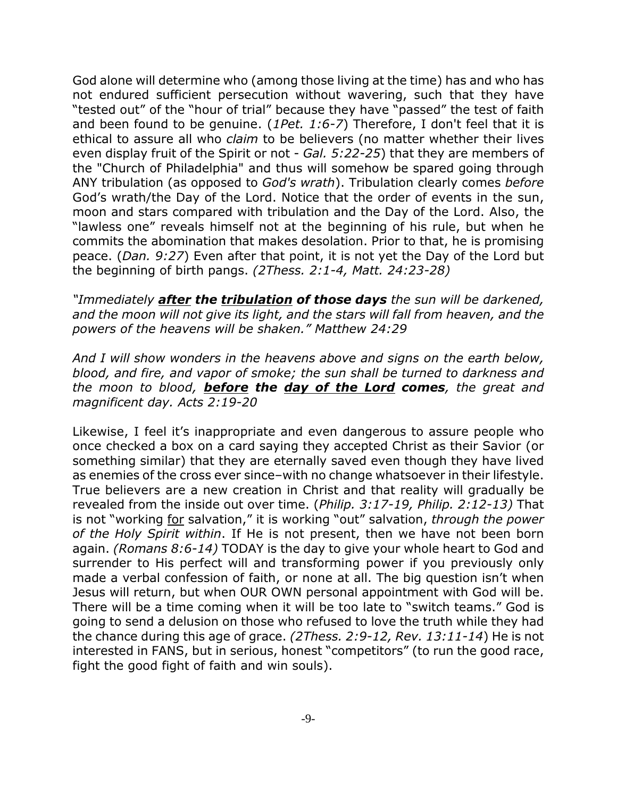God alone will determine who (among those living at the time) has and who has not endured sufficient persecution without wavering, such that they have "tested out" of the "hour of trial" because they have "passed" the test of faith and been found to be genuine. (*1Pet. 1:6-7*) Therefore, I don't feel that it is ethical to assure all who *claim* to be believers (no matter whether their lives even display fruit of the Spirit or not - *Gal. 5:22-25*) that they are members of the "Church of Philadelphia" and thus will somehow be spared going through ANY tribulation (as opposed to *God's wrath*). Tribulation clearly comes *before* God's wrath/the Day of the Lord. Notice that the order of events in the sun, moon and stars compared with tribulation and the Day of the Lord. Also, the "lawless one" reveals himself not at the beginning of his rule, but when he commits the abomination that makes desolation. Prior to that, he is promising peace. (*Dan. 9:27*) Even after that point, it is not yet the Day of the Lord but the beginning of birth pangs. *(2Thess. 2:1-4, Matt. 24:23-28)*

*"Immediately after the tribulation of those days the sun will be darkened, and the moon will not give its light, and the stars will fall from heaven, and the powers of the heavens will be shaken." Matthew 24:29*

*And I will show wonders in the heavens above and signs on the earth below, blood, and fire, and vapor of smoke; the sun shall be turned to darkness and the moon to blood, before the day of the Lord comes, the great and magnificent day. Acts 2:19-20*

Likewise, I feel it's inappropriate and even dangerous to assure people who once checked a box on a card saying they accepted Christ as their Savior (or something similar) that they are eternally saved even though they have lived as enemies of the cross ever since–with no change whatsoever in their lifestyle. True believers are a new creation in Christ and that reality will gradually be revealed from the inside out over time. (*Philip. 3:17-19, Philip. 2:12-13)* That is not "working for salvation," it is working "out" salvation, *through the power of the Holy Spirit within*. If He is not present, then we have not been born again. *(Romans 8:6-14)* TODAY is the day to give your whole heart to God and surrender to His perfect will and transforming power if you previously only made a verbal confession of faith, or none at all. The big question isn't when Jesus will return, but when OUR OWN personal appointment with God will be. There will be a time coming when it will be too late to "switch teams." God is going to send a delusion on those who refused to love the truth while they had the chance during this age of grace. *(2Thess. 2:9-12, Rev. 13:11-14*) He is not interested in FANS, but in serious, honest "competitors" (to run the good race, fight the good fight of faith and win souls).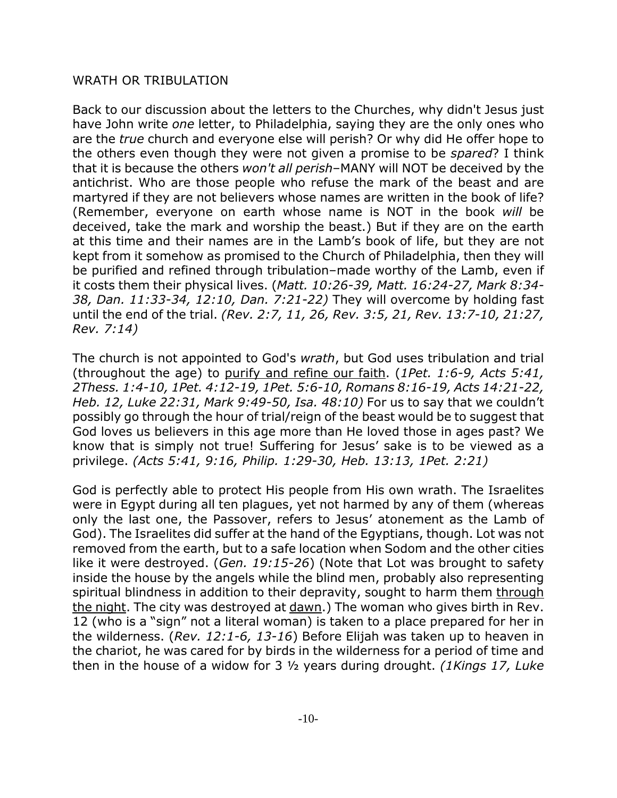#### WRATH OR TRIBULATION

Back to our discussion about the letters to the Churches, why didn't Jesus just have John write *one* letter, to Philadelphia, saying they are the only ones who are the *true* church and everyone else will perish? Or why did He offer hope to the others even though they were not given a promise to be *spared*? I think that it is because the others *won't all perish*–MANY will NOT be deceived by the antichrist. Who are those people who refuse the mark of the beast and are martyred if they are not believers whose names are written in the book of life? (Remember, everyone on earth whose name is NOT in the book *will* be deceived, take the mark and worship the beast.) But if they are on the earth at this time and their names are in the Lamb's book of life, but they are not kept from it somehow as promised to the Church of Philadelphia, then they will be purified and refined through tribulation–made worthy of the Lamb, even if it costs them their physical lives. (*Matt. 10:26-39, Matt. 16:24-27, Mark 8:34- 38, Dan. 11:33-34, 12:10, Dan. 7:21-22)* They will overcome by holding fast until the end of the trial. *(Rev. 2:7, 11, 26, Rev. 3:5, 21, Rev. 13:7-10, 21:27, Rev. 7:14)*

The church is not appointed to God's *wrath*, but God uses tribulation and trial (throughout the age) to purify and refine our faith. (*1Pet. 1:6-9, Acts 5:41, 2Thess. 1:4-10, 1Pet. 4:12-19, 1Pet. 5:6-10, Romans 8:16-19, Acts 14:21-22, Heb. 12, Luke 22:31, Mark 9:49-50, Isa. 48:10)* For us to say that we couldn't possibly go through the hour of trial/reign of the beast would be to suggest that God loves us believers in this age more than He loved those in ages past? We know that is simply not true! Suffering for Jesus' sake is to be viewed as a privilege. *(Acts 5:41, 9:16, Philip. 1:29-30, Heb. 13:13, 1Pet. 2:21)*

God is perfectly able to protect His people from His own wrath. The Israelites were in Egypt during all ten plagues, yet not harmed by any of them (whereas only the last one, the Passover, refers to Jesus' atonement as the Lamb of God). The Israelites did suffer at the hand of the Egyptians, though. Lot was not removed from the earth, but to a safe location when Sodom and the other cities like it were destroyed. (*Gen. 19:15-26*) (Note that Lot was brought to safety inside the house by the angels while the blind men, probably also representing spiritual blindness in addition to their depravity, sought to harm them through the night. The city was destroyed at dawn.) The woman who gives birth in Rev. 12 (who is a "sign" not a literal woman) is taken to a place prepared for her in the wilderness. (*Rev. 12:1-6, 13-16*) Before Elijah was taken up to heaven in the chariot, he was cared for by birds in the wilderness for a period of time and then in the house of a widow for 3 ½ years during drought. *(1Kings 17, Luke*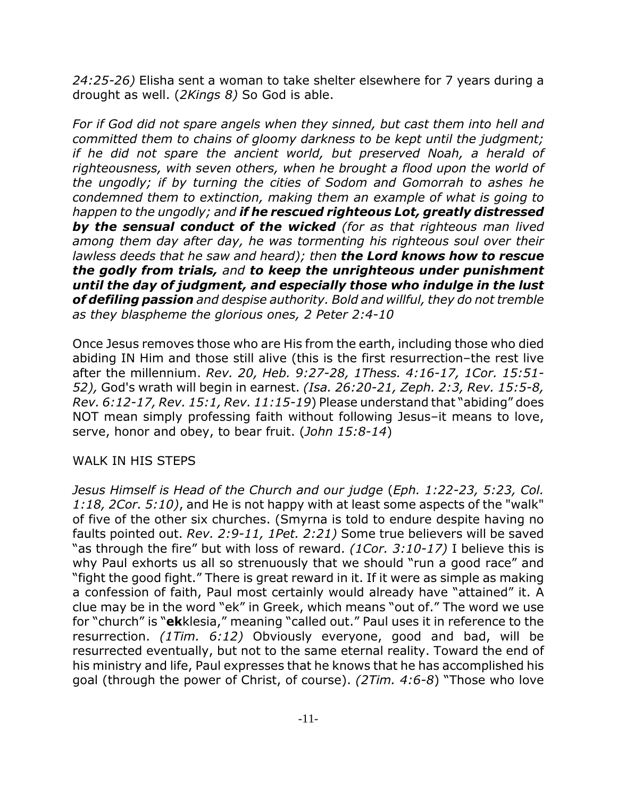*24:25-26)* Elisha sent a woman to take shelter elsewhere for 7 years during a drought as well. (*2Kings 8)* So God is able.

*For if God did not spare angels when they sinned, but cast them into hell and committed them to chains of gloomy darkness to be kept until the judgment; if he did not spare the ancient world, but preserved Noah, a herald of righteousness, with seven others, when he brought a flood upon the world of the ungodly; if by turning the cities of Sodom and Gomorrah to ashes he condemned them to extinction, making them an example of what is going to happen to the ungodly; and if he rescued righteous Lot, greatly distressed by the sensual conduct of the wicked (for as that righteous man lived among them day after day, he was tormenting his righteous soul over their lawless deeds that he saw and heard); then the Lord knows how to rescue the godly from trials, and to keep the unrighteous under punishment until the day of judgment, and especially those who indulge in the lust of defiling passion and despise authority. Bold and willful, they do not tremble as they blaspheme the glorious ones, 2 Peter 2:4-10*

Once Jesus removes those who are His from the earth, including those who died abiding IN Him and those still alive (this is the first resurrection–the rest live after the millennium. *Rev. 20, Heb. 9:27-28, 1Thess. 4:16-17, 1Cor. 15:51- 52),* God's wrath will begin in earnest. *(Isa. 26:20-21, Zeph. 2:3, Rev. 15:5-8, Rev. 6:12-17, Rev. 15:1, Rev. 11:15-19*) Please understand that "abiding" does NOT mean simply professing faith without following Jesus–it means to love, serve, honor and obey, to bear fruit. (*John 15:8-14*)

# WALK IN HIS STEPS

*Jesus Himself is Head of the Church and our judge* (*Eph. 1:22-23, 5:23, Col. 1:18, 2Cor. 5:10)*, and He is not happy with at least some aspects of the "walk" of five of the other six churches. (Smyrna is told to endure despite having no faults pointed out. *Rev. 2:9-11, 1Pet. 2:21)* Some true believers will be saved "as through the fire" but with loss of reward. *(1Cor. 3:10-17)* I believe this is why Paul exhorts us all so strenuously that we should "run a good race" and "fight the good fight." There is great reward in it. If it were as simple as making a confession of faith, Paul most certainly would already have "attained" it. A clue may be in the word "ek" in Greek, which means "out of." The word we use for "church" is "**ek**klesia," meaning "called out." Paul uses it in reference to the resurrection. *(1Tim. 6:12)* Obviously everyone, good and bad, will be resurrected eventually, but not to the same eternal reality. Toward the end of his ministry and life, Paul expresses that he knows that he has accomplished his goal (through the power of Christ, of course). *(2Tim. 4:6-8*) "Those who love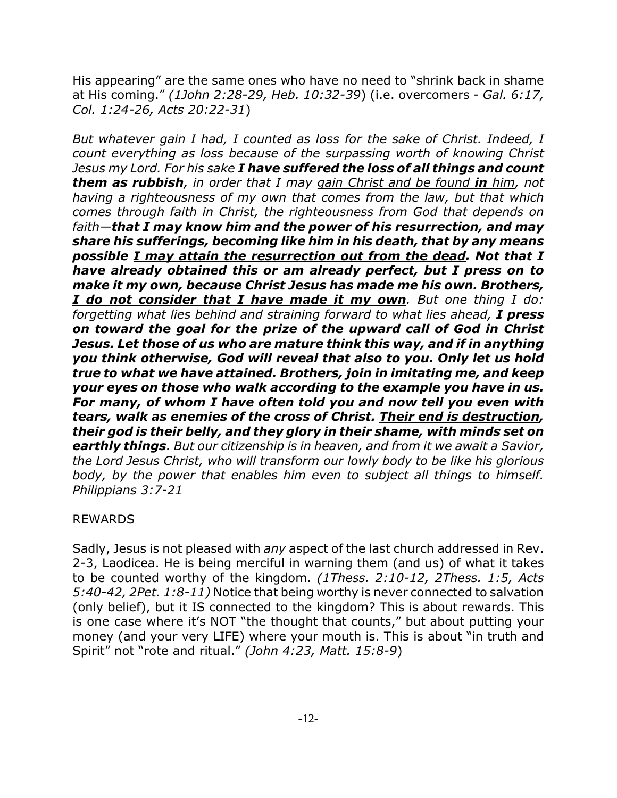His appearing" are the same ones who have no need to "shrink back in shame at His coming." *(1John 2:28-29, Heb. 10:32-39*) (i.e. overcomers - *Gal. 6:17, Col. 1:24-26, Acts 20:22-31*)

*But whatever gain I had, I counted as loss for the sake of Christ. Indeed, I count everything as loss because of the surpassing worth of knowing Christ Jesus my Lord. For his sake I have suffered the loss of all things and count them as rubbish, in order that I may gain Christ and be found in him, not having a righteousness of my own that comes from the law, but that which comes through faith in Christ, the righteousness from God that depends on faith—that I may know him and the power of his resurrection, and may share his sufferings, becoming like him in his death, that by any means possible I may attain the resurrection out from the dead. Not that I have already obtained this or am already perfect, but I press on to make it my own, because Christ Jesus has made me his own. Brothers, I do not consider that I have made it my own. But one thing I do: forgetting what lies behind and straining forward to what lies ahead, I press on toward the goal for the prize of the upward call of God in Christ Jesus. Let those of us who are mature think this way, and if in anything you think otherwise, God will reveal that also to you. Only let us hold true to what we have attained. Brothers, join in imitating me, and keep your eyes on those who walk according to the example you have in us. For many, of whom I have often told you and now tell you even with tears, walk as enemies of the cross of Christ. Their end is destruction, their god is their belly, and they glory in their shame, with minds set on earthly things. But our citizenship is in heaven, and from it we await a Savior, the Lord Jesus Christ, who will transform our lowly body to be like his glorious body, by the power that enables him even to subject all things to himself. Philippians 3:7-21*

## REWARDS

Sadly, Jesus is not pleased with *any* aspect of the last church addressed in Rev. 2-3, Laodicea. He is being merciful in warning them (and us) of what it takes to be counted worthy of the kingdom. *(1Thess. 2:10-12, 2Thess. 1:5, Acts 5:40-42, 2Pet. 1:8-11)* Notice that being worthy is never connected to salvation (only belief), but it IS connected to the kingdom? This is about rewards. This is one case where it's NOT "the thought that counts," but about putting your money (and your very LIFE) where your mouth is. This is about "in truth and Spirit" not "rote and ritual." *(John 4:23, Matt. 15:8-9*)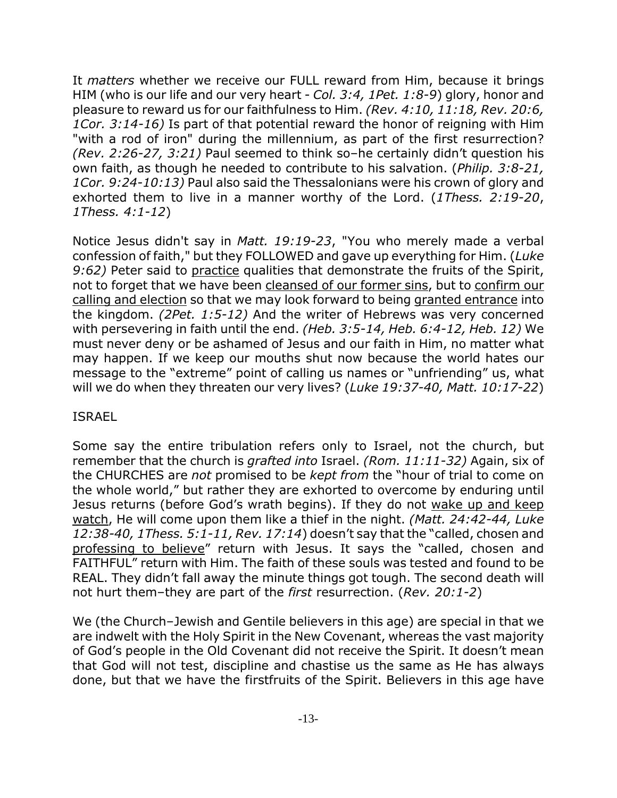It *matters* whether we receive our FULL reward from Him, because it brings HIM (who is our life and our very heart - *Col. 3:4, 1Pet. 1:8-9*) glory, honor and pleasure to reward us for our faithfulness to Him. *(Rev. 4:10, 11:18, Rev. 20:6, 1Cor. 3:14-16)* Is part of that potential reward the honor of reigning with Him "with a rod of iron" during the millennium, as part of the first resurrection? *(Rev. 2:26-27, 3:21)* Paul seemed to think so–he certainly didn't question his own faith, as though he needed to contribute to his salvation. (*Philip. 3:8-21, 1Cor. 9:24-10:13)* Paul also said the Thessalonians were his crown of glory and exhorted them to live in a manner worthy of the Lord. (*1Thess. 2:19-20*, *1Thess. 4:1-12*)

Notice Jesus didn't say in *Matt. 19:19-23*, "You who merely made a verbal confession of faith," but they FOLLOWED and gave up everything for Him. (*Luke 9:62)* Peter said to practice qualities that demonstrate the fruits of the Spirit, not to forget that we have been cleansed of our former sins, but to confirm our calling and election so that we may look forward to being granted entrance into the kingdom. *(2Pet. 1:5-12)* And the writer of Hebrews was very concerned with persevering in faith until the end. *(Heb. 3:5-14, Heb. 6:4-12, Heb. 12)* We must never deny or be ashamed of Jesus and our faith in Him, no matter what may happen. If we keep our mouths shut now because the world hates our message to the "extreme" point of calling us names or "unfriending" us, what will we do when they threaten our very lives? (*Luke 19:37-40, Matt. 10:17-22*)

## ISRAEL

Some say the entire tribulation refers only to Israel, not the church, but remember that the church is *grafted into* Israel. *(Rom. 11:11-32)* Again, six of the CHURCHES are *not* promised to be *kept from* the "hour of trial to come on the whole world," but rather they are exhorted to overcome by enduring until Jesus returns (before God's wrath begins). If they do not wake up and keep watch, He will come upon them like a thief in the night. *(Matt. 24:42-44, Luke 12:38-40, 1Thess. 5:1-11, Rev. 17:14*) doesn't say that the "called, chosen and professing to believe" return with Jesus. It says the "called, chosen and FAITHFUL" return with Him. The faith of these souls was tested and found to be REAL. They didn't fall away the minute things got tough. The second death will not hurt them–they are part of the *first* resurrection. (*Rev. 20:1-2*)

We (the Church–Jewish and Gentile believers in this age) are special in that we are indwelt with the Holy Spirit in the New Covenant, whereas the vast majority of God's people in the Old Covenant did not receive the Spirit. It doesn't mean that God will not test, discipline and chastise us the same as He has always done, but that we have the firstfruits of the Spirit. Believers in this age have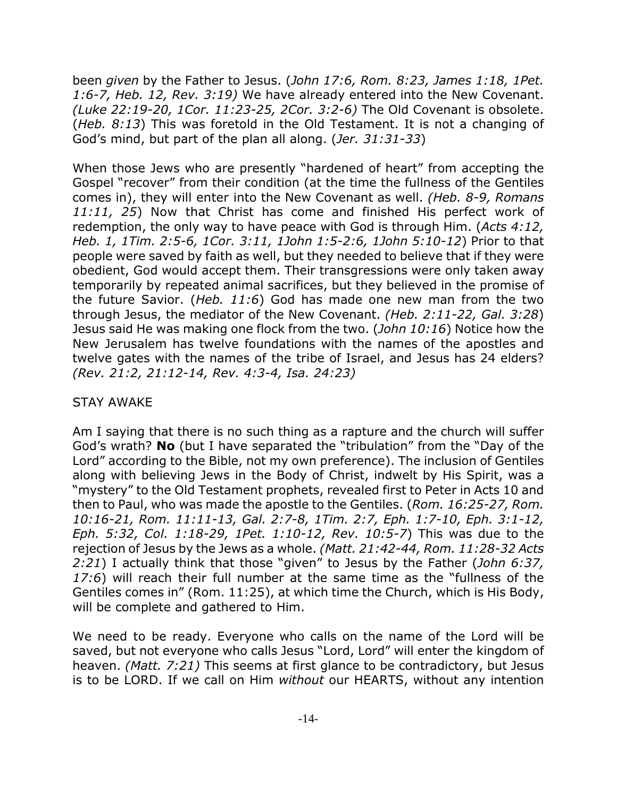been *given* by the Father to Jesus. (*John 17:6, Rom. 8:23, James 1:18, 1Pet. 1:6-7, Heb. 12, Rev. 3:19)* We have already entered into the New Covenant. *(Luke 22:19-20, 1Cor. 11:23-25, 2Cor. 3:2-6)* The Old Covenant is obsolete. (*Heb. 8:13*) This was foretold in the Old Testament. It is not a changing of God's mind, but part of the plan all along. (*Jer. 31:31-33*)

When those Jews who are presently "hardened of heart" from accepting the Gospel "recover" from their condition (at the time the fullness of the Gentiles comes in), they will enter into the New Covenant as well. *(Heb. 8-9, Romans 11:11, 25*) Now that Christ has come and finished His perfect work of redemption, the only way to have peace with God is through Him. (*Acts 4:12, Heb. 1, 1Tim. 2:5-6, 1Cor. 3:11, 1John 1:5-2:6, 1John 5:10-12*) Prior to that people were saved by faith as well, but they needed to believe that if they were obedient, God would accept them. Their transgressions were only taken away temporarily by repeated animal sacrifices, but they believed in the promise of the future Savior. (*Heb. 11:6*) God has made one new man from the two through Jesus, the mediator of the New Covenant. *(Heb. 2:11-22, Gal. 3:28*) Jesus said He was making one flock from the two. (*John 10:16*) Notice how the New Jerusalem has twelve foundations with the names of the apostles and twelve gates with the names of the tribe of Israel, and Jesus has 24 elders? *(Rev. 21:2, 21:12-14, Rev. 4:3-4, Isa. 24:23)*

## STAY AWAKE

Am I saying that there is no such thing as a rapture and the church will suffer God's wrath? **No** (but I have separated the "tribulation" from the "Day of the Lord" according to the Bible, not my own preference). The inclusion of Gentiles along with believing Jews in the Body of Christ, indwelt by His Spirit, was a "mystery" to the Old Testament prophets, revealed first to Peter in Acts 10 and then to Paul, who was made the apostle to the Gentiles. (*Rom. 16:25-27, Rom. 10:16-21, Rom. 11:11-13, Gal. 2:7-8, 1Tim. 2:7, Eph. 1:7-10, Eph. 3:1-12, Eph. 5:32, Col. 1:18-29, 1Pet. 1:10-12, Rev. 10:5-7*) This was due to the rejection of Jesus by the Jews as a whole. *(Matt. 21:42-44, Rom. 11:28-32 Acts 2:21*) I actually think that those "given" to Jesus by the Father (*John 6:37, 17:6*) will reach their full number at the same time as the "fullness of the Gentiles comes in" (Rom. 11:25), at which time the Church, which is His Body, will be complete and gathered to Him.

We need to be ready. Everyone who calls on the name of the Lord will be saved, but not everyone who calls Jesus "Lord, Lord" will enter the kingdom of heaven. *(Matt. 7:21)* This seems at first glance to be contradictory, but Jesus is to be LORD. If we call on Him *without* our HEARTS, without any intention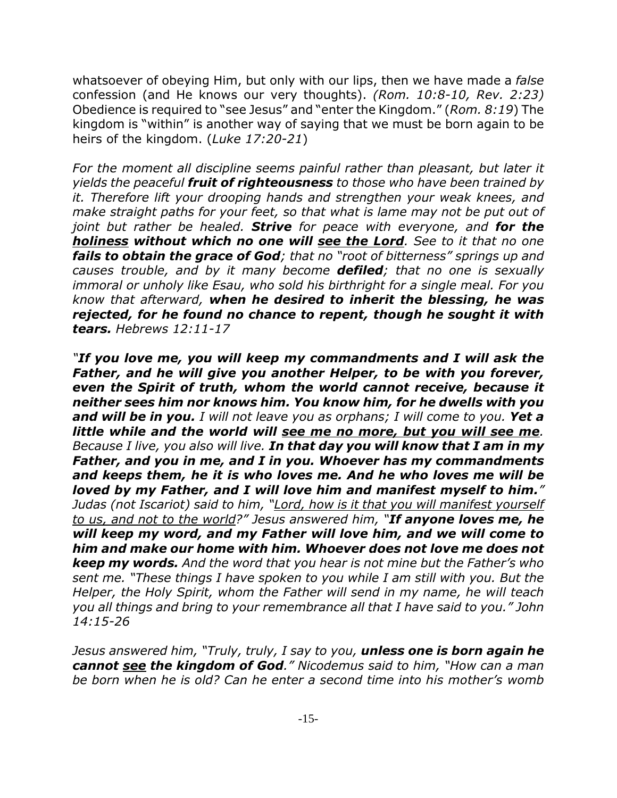whatsoever of obeying Him, but only with our lips, then we have made a *false* confession (and He knows our very thoughts). *(Rom. 10:8-10, Rev. 2:23)* Obedience is required to "see Jesus" and "enter the Kingdom." (*Rom. 8:19*) The kingdom is "within" is another way of saying that we must be born again to be heirs of the kingdom. (*Luke 17:20-21*)

*For the moment all discipline seems painful rather than pleasant, but later it yields the peaceful fruit of righteousness to those who have been trained by it. Therefore lift your drooping hands and strengthen your weak knees, and make straight paths for your feet, so that what is lame may not be put out of joint but rather be healed. Strive for peace with everyone, and for the holiness without which no one will see the Lord. See to it that no one fails to obtain the grace of God; that no "root of bitterness" springs up and causes trouble, and by it many become defiled; that no one is sexually immoral or unholy like Esau, who sold his birthright for a single meal. For you know that afterward, when he desired to inherit the blessing, he was rejected, for he found no chance to repent, though he sought it with tears. Hebrews 12:11-17*

*"If you love me, you will keep my commandments and I will ask the Father, and he will give you another Helper, to be with you forever, even the Spirit of truth, whom the world cannot receive, because it neither sees him nor knows him. You know him, for he dwells with you and will be in you. I will not leave you as orphans; I will come to you. Yet a little while and the world will see me no more, but you will see me. Because I live, you also will live. In that day you will know that I am in my Father, and you in me, and I in you. Whoever has my commandments and keeps them, he it is who loves me. And he who loves me will be loved by my Father, and I will love him and manifest myself to him." Judas (not Iscariot) said to him, "Lord, how is it that you will manifest yourself to us, and not to the world?" Jesus answered him, "If anyone loves me, he will keep my word, and my Father will love him, and we will come to him and make our home with him. Whoever does not love me does not keep my words. And the word that you hear is not mine but the Father's who sent me. "These things I have spoken to you while I am still with you. But the Helper, the Holy Spirit, whom the Father will send in my name, he will teach you all things and bring to your remembrance all that I have said to you." John 14:15-26*

*Jesus answered him, "Truly, truly, I say to you, unless one is born again he cannot see the kingdom of God." Nicodemus said to him, "How can a man be born when he is old? Can he enter a second time into his mother's womb*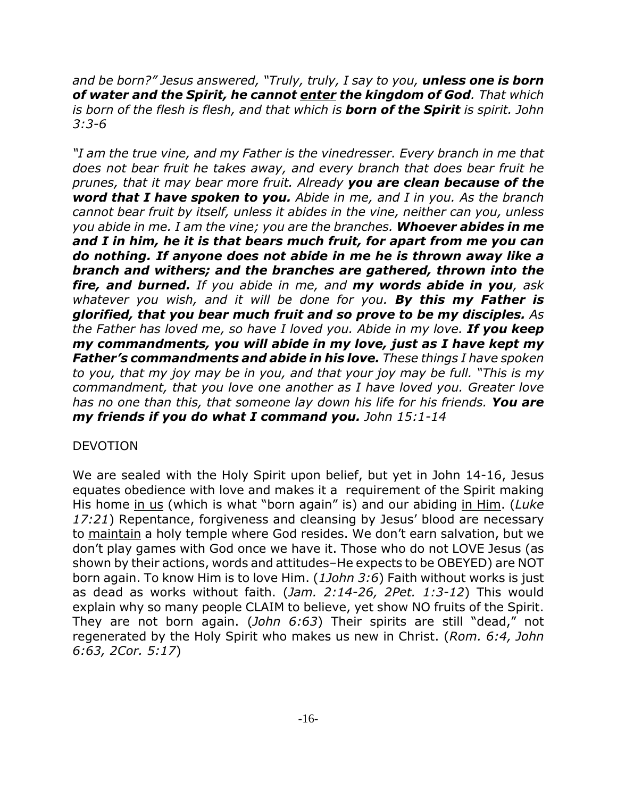*and be born?" Jesus answered, "Truly, truly, I say to you, unless one is born of water and the Spirit, he cannot enter the kingdom of God. That which is born of the flesh is flesh, and that which is born of the Spirit is spirit. John 3:3-6*

*"I am the true vine, and my Father is the vinedresser. Every branch in me that does not bear fruit he takes away, and every branch that does bear fruit he prunes, that it may bear more fruit. Already you are clean because of the word that I have spoken to you. Abide in me, and I in you. As the branch cannot bear fruit by itself, unless it abides in the vine, neither can you, unless you abide in me. I am the vine; you are the branches. Whoever abides in me and I in him, he it is that bears much fruit, for apart from me you can do nothing. If anyone does not abide in me he is thrown away like a branch and withers; and the branches are gathered, thrown into the fire, and burned. If you abide in me, and my words abide in you, ask whatever you wish, and it will be done for you. By this my Father is glorified, that you bear much fruit and so prove to be my disciples. As the Father has loved me, so have I loved you. Abide in my love. If you keep my commandments, you will abide in my love, just as I have kept my Father's commandments and abide in his love. These things I have spoken to you, that my joy may be in you, and that your joy may be full. "This is my commandment, that you love one another as I have loved you. Greater love has no one than this, that someone lay down his life for his friends. You are my friends if you do what I command you. John 15:1-14*

# DEVOTION

We are sealed with the Holy Spirit upon belief, but yet in John 14-16, Jesus equates obedience with love and makes it a requirement of the Spirit making His home in us (which is what "born again" is) and our abiding in Him. (*Luke 17:21*) Repentance, forgiveness and cleansing by Jesus' blood are necessary to maintain a holy temple where God resides. We don't earn salvation, but we don't play games with God once we have it. Those who do not LOVE Jesus (as shown by their actions, words and attitudes–He expects to be OBEYED) are NOT born again. To know Him is to love Him. (*1John 3:6*) Faith without works is just as dead as works without faith. (*Jam. 2:14-26, 2Pet. 1:3-12*) This would explain why so many people CLAIM to believe, yet show NO fruits of the Spirit. They are not born again. (*John 6:63*) Their spirits are still "dead," not regenerated by the Holy Spirit who makes us new in Christ. (*Rom. 6:4, John 6:63, 2Cor. 5:17*)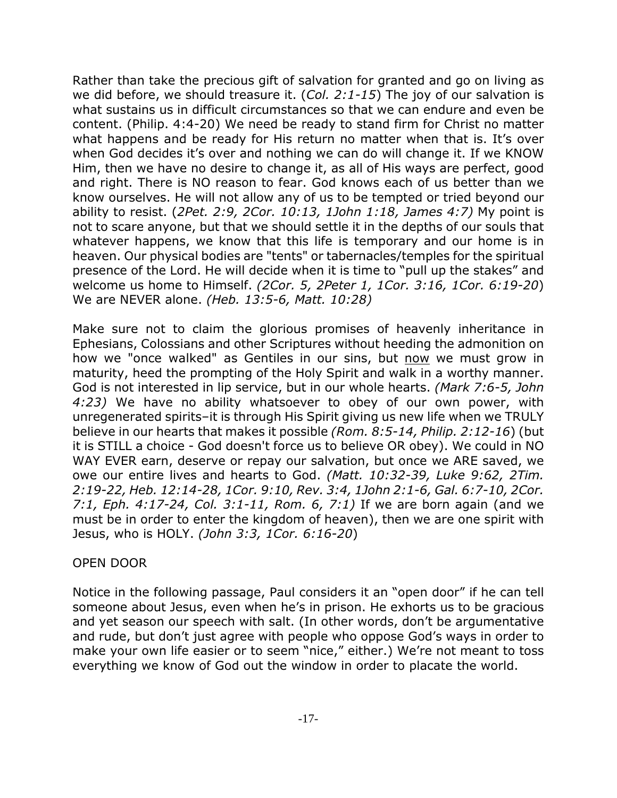Rather than take the precious gift of salvation for granted and go on living as we did before, we should treasure it. (*Col. 2:1-15*) The joy of our salvation is what sustains us in difficult circumstances so that we can endure and even be content. (Philip. 4:4-20) We need be ready to stand firm for Christ no matter what happens and be ready for His return no matter when that is. It's over when God decides it's over and nothing we can do will change it. If we KNOW Him, then we have no desire to change it, as all of His ways are perfect, good and right. There is NO reason to fear. God knows each of us better than we know ourselves. He will not allow any of us to be tempted or tried beyond our ability to resist. (*2Pet. 2:9, 2Cor. 10:13, 1John 1:18, James 4:7)* My point is not to scare anyone, but that we should settle it in the depths of our souls that whatever happens, we know that this life is temporary and our home is in heaven. Our physical bodies are "tents" or tabernacles/temples for the spiritual presence of the Lord. He will decide when it is time to "pull up the stakes" and welcome us home to Himself. *(2Cor. 5, 2Peter 1, 1Cor. 3:16, 1Cor. 6:19-20*) We are NEVER alone. *(Heb. 13:5-6, Matt. 10:28)* 

Make sure not to claim the glorious promises of heavenly inheritance in Ephesians, Colossians and other Scriptures without heeding the admonition on how we "once walked" as Gentiles in our sins, but now we must grow in maturity, heed the prompting of the Holy Spirit and walk in a worthy manner. God is not interested in lip service, but in our whole hearts. *(Mark 7:6-5, John 4:23)* We have no ability whatsoever to obey of our own power, with unregenerated spirits–it is through His Spirit giving us new life when we TRULY believe in our hearts that makes it possible *(Rom. 8:5-14, Philip. 2:12-16*) (but it is STILL a choice - God doesn't force us to believe OR obey). We could in NO WAY EVER earn, deserve or repay our salvation, but once we ARE saved, we owe our entire lives and hearts to God. *(Matt. 10:32-39, Luke 9:62, 2Tim. 2:19-22, Heb. 12:14-28, 1Cor. 9:10, Rev. 3:4, 1John 2:1-6, Gal. 6:7-10, 2Cor. 7:1, Eph. 4:17-24, Col. 3:1-11, Rom. 6, 7:1)* If we are born again (and we must be in order to enter the kingdom of heaven), then we are one spirit with Jesus, who is HOLY. *(John 3:3, 1Cor. 6:16-20*)

## OPEN DOOR

Notice in the following passage, Paul considers it an "open door" if he can tell someone about Jesus, even when he's in prison. He exhorts us to be gracious and yet season our speech with salt. (In other words, don't be argumentative and rude, but don't just agree with people who oppose God's ways in order to make your own life easier or to seem "nice," either.) We're not meant to toss everything we know of God out the window in order to placate the world.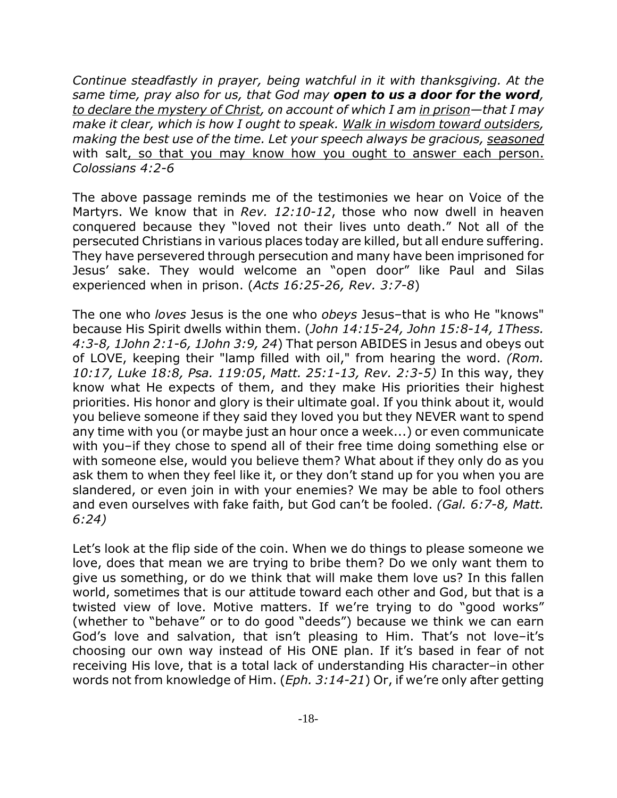*Continue steadfastly in prayer, being watchful in it with thanksgiving. At the same time, pray also for us, that God may open to us a door for the word, to declare the mystery of Christ, on account of which I am in prison—that I may make it clear, which is how I ought to speak. Walk in wisdom toward outsiders, making the best use of the time. Let your speech always be gracious, seasoned* with salt, so that you may know how you ought to answer each person. *Colossians 4:2-6*

The above passage reminds me of the testimonies we hear on Voice of the Martyrs. We know that in *Rev. 12:10-12*, those who now dwell in heaven conquered because they "loved not their lives unto death." Not all of the persecuted Christians in various places today are killed, but all endure suffering. They have persevered through persecution and many have been imprisoned for Jesus' sake. They would welcome an "open door" like Paul and Silas experienced when in prison. (*Acts 16:25-26, Rev. 3:7-8*)

The one who *loves* Jesus is the one who *obeys* Jesus–that is who He "knows" because His Spirit dwells within them. (*John 14:15-24, John 15:8-14, 1Thess. 4:3-8, 1John 2:1-6, 1John 3:9, 24*) That person ABIDES in Jesus and obeys out of LOVE, keeping their "lamp filled with oil," from hearing the word. *(Rom. 10:17, Luke 18:8, Psa. 119:05*, *Matt. 25:1-13, Rev. 2:3-5)* In this way, they know what He expects of them, and they make His priorities their highest priorities. His honor and glory is their ultimate goal. If you think about it, would you believe someone if they said they loved you but they NEVER want to spend any time with you (or maybe just an hour once a week...) or even communicate with you–if they chose to spend all of their free time doing something else or with someone else, would you believe them? What about if they only do as you ask them to when they feel like it, or they don't stand up for you when you are slandered, or even join in with your enemies? We may be able to fool others and even ourselves with fake faith, but God can't be fooled. *(Gal. 6:7-8, Matt. 6:24)*

Let's look at the flip side of the coin. When we do things to please someone we love, does that mean we are trying to bribe them? Do we only want them to give us something, or do we think that will make them love us? In this fallen world, sometimes that is our attitude toward each other and God, but that is a twisted view of love. Motive matters. If we're trying to do "good works" (whether to "behave" or to do good "deeds") because we think we can earn God's love and salvation, that isn't pleasing to Him. That's not love–it's choosing our own way instead of His ONE plan. If it's based in fear of not receiving His love, that is a total lack of understanding His character–in other words not from knowledge of Him. (*Eph. 3:14-21*) Or, if we're only after getting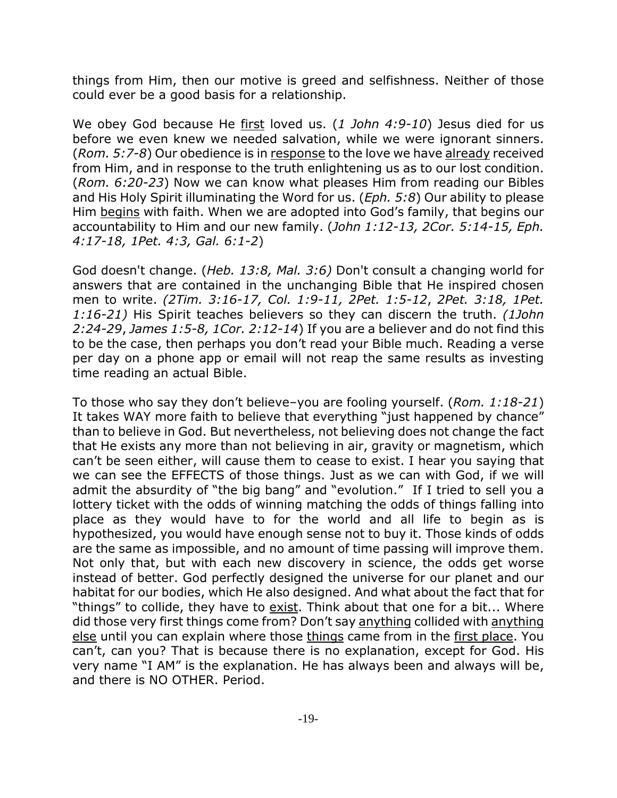things from Him, then our motive is greed and selfishness. Neither of those could ever be a good basis for a relationship.

We obey God because He first loved us. (*1 John 4:9-10*) Jesus died for us before we even knew we needed salvation, while we were ignorant sinners. (*Rom. 5:7-8*) Our obedience is in response to the love we have already received from Him, and in response to the truth enlightening us as to our lost condition. (*Rom. 6:20-23*) Now we can know what pleases Him from reading our Bibles and His Holy Spirit illuminating the Word for us. (*Eph. 5:8*) Our ability to please Him begins with faith. When we are adopted into God's family, that begins our accountability to Him and our new family. (*John 1:12-13, 2Cor. 5:14-15, Eph. 4:17-18, 1Pet. 4:3, Gal. 6:1-2*)

God doesn't change. (*Heb. 13:8, Mal. 3:6)* Don't consult a changing world for answers that are contained in the unchanging Bible that He inspired chosen men to write. *(2Tim. 3:16-17, Col. 1:9-11, 2Pet. 1:5-12*, *2Pet. 3:18, 1Pet. 1:16-21)* His Spirit teaches believers so they can discern the truth. *(1John 2:24-29*, *James 1:5-8, 1Cor. 2:12-14*) If you are a believer and do not find this to be the case, then perhaps you don't read your Bible much. Reading a verse per day on a phone app or email will not reap the same results as investing time reading an actual Bible.

To those who say they don't believe–you are fooling yourself. (*Rom. 1:18-21*) It takes WAY more faith to believe that everything "just happened by chance" than to believe in God. But nevertheless, not believing does not change the fact that He exists any more than not believing in air, gravity or magnetism, which can't be seen either, will cause them to cease to exist. I hear you saying that we can see the EFFECTS of those things. Just as we can with God, if we will admit the absurdity of "the big bang" and "evolution." If I tried to sell you a lottery ticket with the odds of winning matching the odds of things falling into place as they would have to for the world and all life to begin as is hypothesized, you would have enough sense not to buy it. Those kinds of odds are the same as impossible, and no amount of time passing will improve them. Not only that, but with each new discovery in science, the odds get worse instead of better. God perfectly designed the universe for our planet and our habitat for our bodies, which He also designed. And what about the fact that for "things" to collide, they have to exist. Think about that one for a bit... Where did those very first things come from? Don't say anything collided with anything else until you can explain where those things came from in the first place. You can't, can you? That is because there is no explanation, except for God. His very name "I AM" is the explanation. He has always been and always will be, and there is NO OTHER. Period.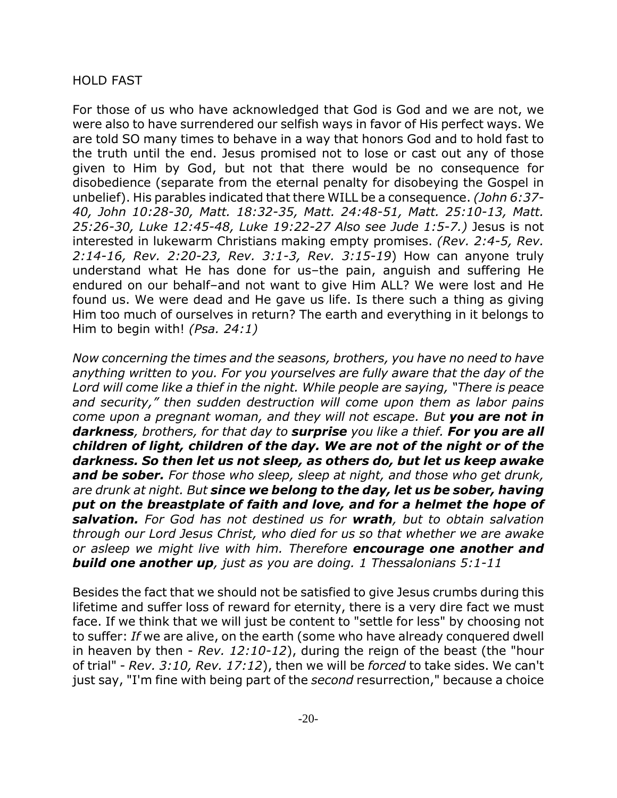#### HOLD FAST

For those of us who have acknowledged that God is God and we are not, we were also to have surrendered our selfish ways in favor of His perfect ways. We are told SO many times to behave in a way that honors God and to hold fast to the truth until the end. Jesus promised not to lose or cast out any of those given to Him by God, but not that there would be no consequence for disobedience (separate from the eternal penalty for disobeying the Gospel in unbelief). His parables indicated that there WILL be a consequence. *(John 6:37- 40, John 10:28-30, Matt. 18:32-35, Matt. 24:48-51, Matt. 25:10-13, Matt. 25:26-30, Luke 12:45-48, Luke 19:22-27 Also see Jude 1:5-7.)* Jesus is not interested in lukewarm Christians making empty promises. *(Rev. 2:4-5, Rev. 2:14-16, Rev. 2:20-23, Rev. 3:1-3, Rev. 3:15-19*) How can anyone truly understand what He has done for us–the pain, anguish and suffering He endured on our behalf–and not want to give Him ALL? We were lost and He found us. We were dead and He gave us life. Is there such a thing as giving Him too much of ourselves in return? The earth and everything in it belongs to Him to begin with! *(Psa. 24:1)*

*Now concerning the times and the seasons, brothers, you have no need to have anything written to you. For you yourselves are fully aware that the day of the Lord will come like a thief in the night. While people are saying, "There is peace and security," then sudden destruction will come upon them as labor pains come upon a pregnant woman, and they will not escape. But you are not in darkness, brothers, for that day to surprise you like a thief. For you are all children of light, children of the day. We are not of the night or of the darkness. So then let us not sleep, as others do, but let us keep awake and be sober. For those who sleep, sleep at night, and those who get drunk, are drunk at night. But since we belong to the day, let us be sober, having put on the breastplate of faith and love, and for a helmet the hope of salvation. For God has not destined us for wrath, but to obtain salvation through our Lord Jesus Christ, who died for us so that whether we are awake or asleep we might live with him. Therefore encourage one another and build one another up, just as you are doing. 1 Thessalonians 5:1-11*

Besides the fact that we should not be satisfied to give Jesus crumbs during this lifetime and suffer loss of reward for eternity, there is a very dire fact we must face. If we think that we will just be content to "settle for less" by choosing not to suffer: *If* we are alive, on the earth (some who have already conquered dwell in heaven by then - *Rev. 12:10-12*), during the reign of the beast (the "hour of trial" - *Rev. 3:10, Rev. 17:12*), then we will be *forced* to take sides. We can't just say, "I'm fine with being part of the *second* resurrection," because a choice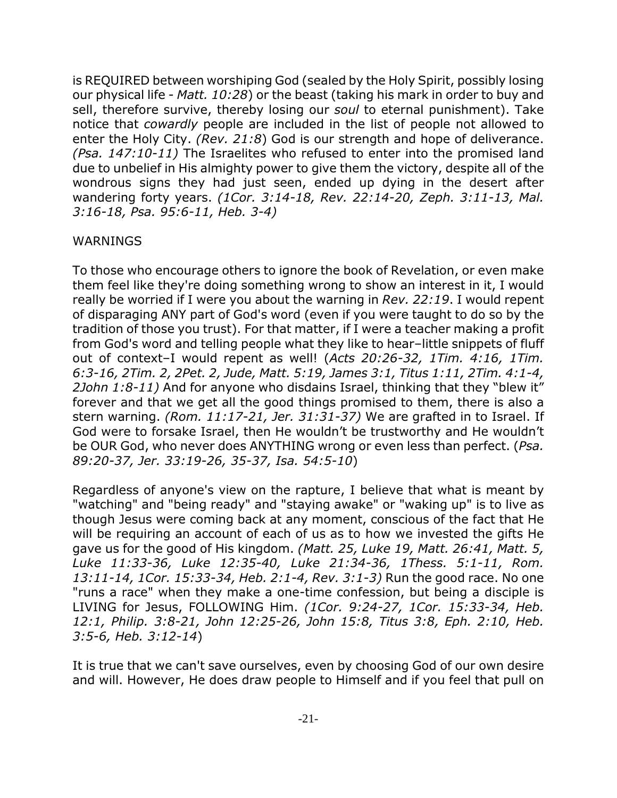is REQUIRED between worshiping God (sealed by the Holy Spirit, possibly losing our physical life - *Matt. 10:28*) or the beast (taking his mark in order to buy and sell, therefore survive, thereby losing our *soul* to eternal punishment). Take notice that *cowardly* people are included in the list of people not allowed to enter the Holy City. *(Rev. 21:8*) God is our strength and hope of deliverance. *(Psa. 147:10-11)* The Israelites who refused to enter into the promised land due to unbelief in His almighty power to give them the victory, despite all of the wondrous signs they had just seen, ended up dying in the desert after wandering forty years. *(1Cor. 3:14-18, Rev. 22:14-20, Zeph. 3:11-13, Mal. 3:16-18, Psa. 95:6-11, Heb. 3-4)*

## WARNINGS

To those who encourage others to ignore the book of Revelation, or even make them feel like they're doing something wrong to show an interest in it, I would really be worried if I were you about the warning in *Rev. 22:19*. I would repent of disparaging ANY part of God's word (even if you were taught to do so by the tradition of those you trust). For that matter, if I were a teacher making a profit from God's word and telling people what they like to hear–little snippets of fluff out of context–I would repent as well! (*Acts 20:26-32, 1Tim. 4:16, 1Tim. 6:3-16, 2Tim. 2, 2Pet. 2, Jude, Matt. 5:19, James 3:1, Titus 1:11, 2Tim. 4:1-4, 2John 1:8-11)* And for anyone who disdains Israel, thinking that they "blew it" forever and that we get all the good things promised to them, there is also a stern warning. *(Rom. 11:17-21, Jer. 31:31-37)* We are grafted in to Israel. If God were to forsake Israel, then He wouldn't be trustworthy and He wouldn't be OUR God, who never does ANYTHING wrong or even less than perfect. (*Psa. 89:20-37, Jer. 33:19-26, 35-37, Isa. 54:5-10*)

Regardless of anyone's view on the rapture, I believe that what is meant by "watching" and "being ready" and "staying awake" or "waking up" is to live as though Jesus were coming back at any moment, conscious of the fact that He will be requiring an account of each of us as to how we invested the gifts He gave us for the good of His kingdom. *(Matt. 25, Luke 19, Matt. 26:41, Matt. 5, Luke 11:33-36, Luke 12:35-40, Luke 21:34-36, 1Thess. 5:1-11, Rom. 13:11-14, 1Cor. 15:33-34, Heb. 2:1-4, Rev. 3:1-3)* Run the good race. No one "runs a race" when they make a one-time confession, but being a disciple is LIVING for Jesus, FOLLOWING Him. *(1Cor. 9:24-27, 1Cor. 15:33-34, Heb. 12:1, Philip. 3:8-21, John 12:25-26, John 15:8, Titus 3:8, Eph. 2:10, Heb. 3:5-6, Heb. 3:12-14*)

It is true that we can't save ourselves, even by choosing God of our own desire and will. However, He does draw people to Himself and if you feel that pull on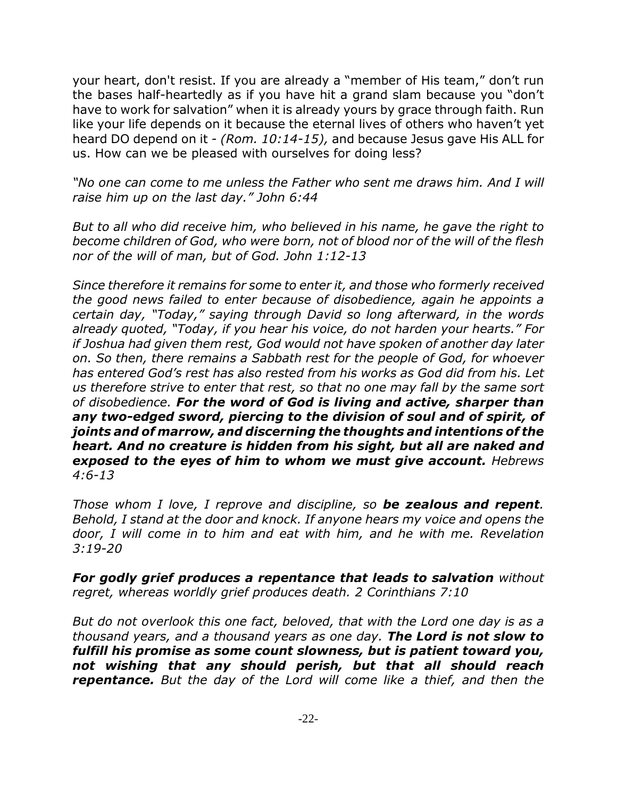your heart, don't resist. If you are already a "member of His team," don't run the bases half-heartedly as if you have hit a grand slam because you "don't have to work for salvation" when it is already yours by grace through faith. Run like your life depends on it because the eternal lives of others who haven't yet heard DO depend on it - *(Rom. 10:14-15),* and because Jesus gave His ALL for us. How can we be pleased with ourselves for doing less?

*"No one can come to me unless the Father who sent me draws him. And I will raise him up on the last day." John 6:44*

*But to all who did receive him, who believed in his name, he gave the right to become children of God, who were born, not of blood nor of the will of the flesh nor of the will of man, but of God. John 1:12-13*

*Since therefore it remains for some to enter it, and those who formerly received the good news failed to enter because of disobedience, again he appoints a certain day, "Today," saying through David so long afterward, in the words already quoted, "Today, if you hear his voice, do not harden your hearts." For if Joshua had given them rest, God would not have spoken of another day later on. So then, there remains a Sabbath rest for the people of God, for whoever has entered God's rest has also rested from his works as God did from his. Let us therefore strive to enter that rest, so that no one may fall by the same sort of disobedience. For the word of God is living and active, sharper than any two-edged sword, piercing to the division of soul and of spirit, of joints and of marrow, and discerning the thoughts and intentions of the heart. And no creature is hidden from his sight, but all are naked and exposed to the eyes of him to whom we must give account. Hebrews 4:6-13*

*Those whom I love, I reprove and discipline, so be zealous and repent. Behold, I stand at the door and knock. If anyone hears my voice and opens the door, I will come in to him and eat with him, and he with me. Revelation 3:19-20*

*For godly grief produces a repentance that leads to salvation without regret, whereas worldly grief produces death. 2 Corinthians 7:10*

*But do not overlook this one fact, beloved, that with the Lord one day is as a thousand years, and a thousand years as one day. The Lord is not slow to fulfill his promise as some count slowness, but is patient toward you, not wishing that any should perish, but that all should reach repentance. But the day of the Lord will come like a thief, and then the*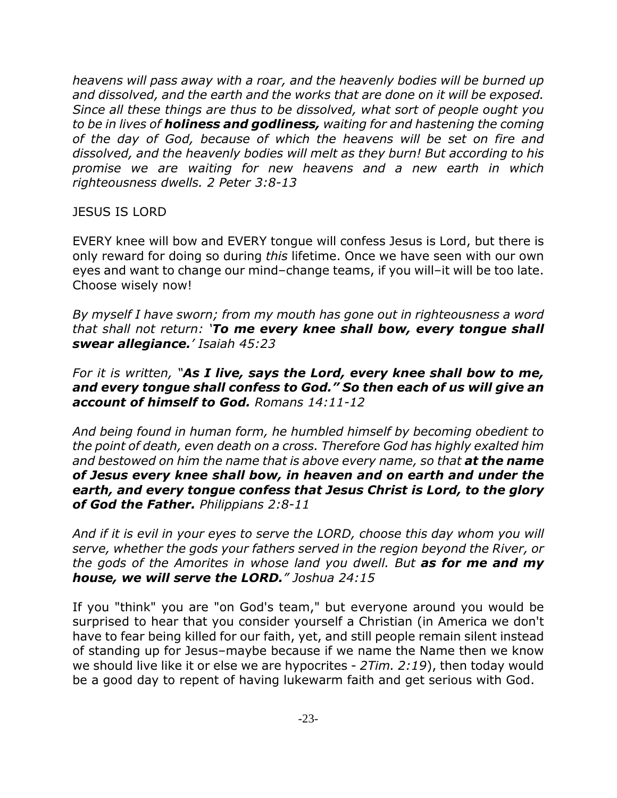*heavens will pass away with a roar, and the heavenly bodies will be burned up and dissolved, and the earth and the works that are done on it will be exposed. Since all these things are thus to be dissolved, what sort of people ought you to be in lives of holiness and godliness, waiting for and hastening the coming of the day of God, because of which the heavens will be set on fire and dissolved, and the heavenly bodies will melt as they burn! But according to his promise we are waiting for new heavens and a new earth in which righteousness dwells. 2 Peter 3:8-13*

JESUS IS LORD

EVERY knee will bow and EVERY tongue will confess Jesus is Lord, but there is only reward for doing so during *this* lifetime. Once we have seen with our own eyes and want to change our mind–change teams, if you will–it will be too late. Choose wisely now!

*By myself I have sworn; from my mouth has gone out in righteousness a word that shall not return: 'To me every knee shall bow, every tongue shall swear allegiance.' Isaiah 45:23*

*For it is written, "As I live, says the Lord, every knee shall bow to me, and every tongue shall confess to God." So then each of us will give an account of himself to God. Romans 14:11-12*

*And being found in human form, he humbled himself by becoming obedient to the point of death, even death on a cross. Therefore God has highly exalted him* and bestowed on him the name that is above every name, so that **at the name** *of Jesus every knee shall bow, in heaven and on earth and under the earth, and every tongue confess that Jesus Christ is Lord, to the glory of God the Father. Philippians 2:8-11*

*And if it is evil in your eyes to serve the LORD, choose this day whom you will serve, whether the gods your fathers served in the region beyond the River, or the gods of the Amorites in whose land you dwell. But as for me and my house, we will serve the LORD." Joshua 24:15*

If you "think" you are "on God's team," but everyone around you would be surprised to hear that you consider yourself a Christian (in America we don't have to fear being killed for our faith, yet, and still people remain silent instead of standing up for Jesus–maybe because if we name the Name then we know we should live like it or else we are hypocrites - *2Tim. 2:19*), then today would be a good day to repent of having lukewarm faith and get serious with God.